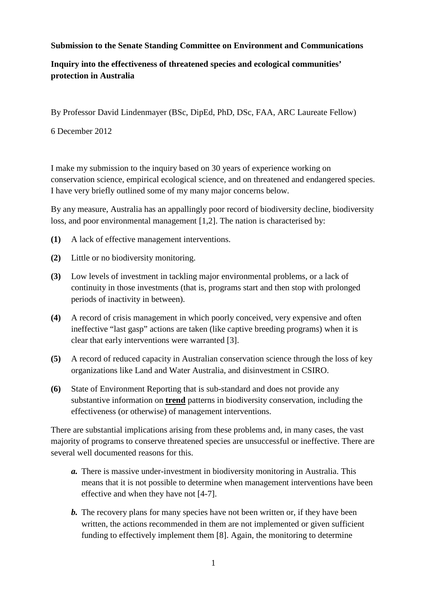## **Submission to the Senate Standing Committee on Environment and Communications**

## **Inquiry into the effectiveness of threatened species and ecological communities' protection in Australia**

By Professor David Lindenmayer (BSc, DipEd, PhD, DSc, FAA, ARC Laureate Fellow)

6 December 2012

I make my submission to the inquiry based on 30 years of experience working on conservation science, empirical ecological science, and on threatened and endangered species. I have very briefly outlined some of my many major concerns below.

By any measure, Australia has an appallingly poor record of biodiversity decline, biodiversity loss, and poor environmental management [1,2]. The nation is characterised by:

- **(1)** A lack of effective management interventions.
- **(2)** Little or no biodiversity monitoring.
- **(3)** Low levels of investment in tackling major environmental problems, or a lack of continuity in those investments (that is, programs start and then stop with prolonged periods of inactivity in between).
- **(4)** A record of crisis management in which poorly conceived, very expensive and often ineffective "last gasp" actions are taken (like captive breeding programs) when it is clear that early interventions were warranted [3].
- **(5)** A record of reduced capacity in Australian conservation science through the loss of key organizations like Land and Water Australia, and disinvestment in CSIRO.
- **(6)** State of Environment Reporting that is sub-standard and does not provide any substantive information on **trend** patterns in biodiversity conservation, including the effectiveness (or otherwise) of management interventions.

There are substantial implications arising from these problems and, in many cases, the vast majority of programs to conserve threatened species are unsuccessful or ineffective. There are several well documented reasons for this.

- *a.* There is massive under-investment in biodiversity monitoring in Australia. This means that it is not possible to determine when management interventions have been effective and when they have not [4-7].
- *b.* The recovery plans for many species have not been written or, if they have been written, the actions recommended in them are not implemented or given sufficient funding to effectively implement them [8]. Again, the monitoring to determine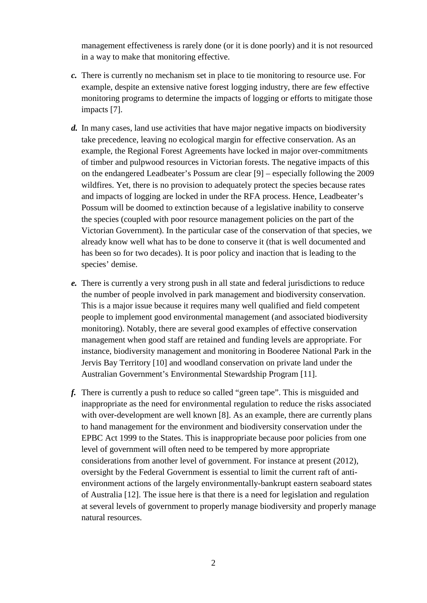management effectiveness is rarely done (or it is done poorly) and it is not resourced in a way to make that monitoring effective.

- *c.* There is currently no mechanism set in place to tie monitoring to resource use. For example, despite an extensive native forest logging industry, there are few effective monitoring programs to determine the impacts of logging or efforts to mitigate those impacts [7].
- *d.* In many cases, land use activities that have major negative impacts on biodiversity take precedence, leaving no ecological margin for effective conservation. As an example, the Regional Forest Agreements have locked in major over-commitments of timber and pulpwood resources in Victorian forests. The negative impacts of this on the endangered Leadbeater's Possum are clear [9] – especially following the 2009 wildfires. Yet, there is no provision to adequately protect the species because rates and impacts of logging are locked in under the RFA process. Hence, Leadbeater's Possum will be doomed to extinction because of a legislative inability to conserve the species (coupled with poor resource management policies on the part of the Victorian Government). In the particular case of the conservation of that species, we already know well what has to be done to conserve it (that is well documented and has been so for two decades). It is poor policy and inaction that is leading to the species' demise.
- *e.* There is currently a very strong push in all state and federal jurisdictions to reduce the number of people involved in park management and biodiversity conservation. This is a major issue because it requires many well qualified and field competent people to implement good environmental management (and associated biodiversity monitoring). Notably, there are several good examples of effective conservation management when good staff are retained and funding levels are appropriate. For instance, biodiversity management and monitoring in Booderee National Park in the Jervis Bay Territory [10] and woodland conservation on private land under the Australian Government's Environmental Stewardship Program [11].
- *f.* There is currently a push to reduce so called "green tape". This is misguided and inappropriate as the need for environmental regulation to reduce the risks associated with over-development are well known [8]. As an example, there are currently plans to hand management for the environment and biodiversity conservation under the EPBC Act 1999 to the States. This is inappropriate because poor policies from one level of government will often need to be tempered by more appropriate considerations from another level of government. For instance at present (2012), oversight by the Federal Government is essential to limit the current raft of antienvironment actions of the largely environmentally-bankrupt eastern seaboard states of Australia [12]. The issue here is that there is a need for legislation and regulation at several levels of government to properly manage biodiversity and properly manage natural resources.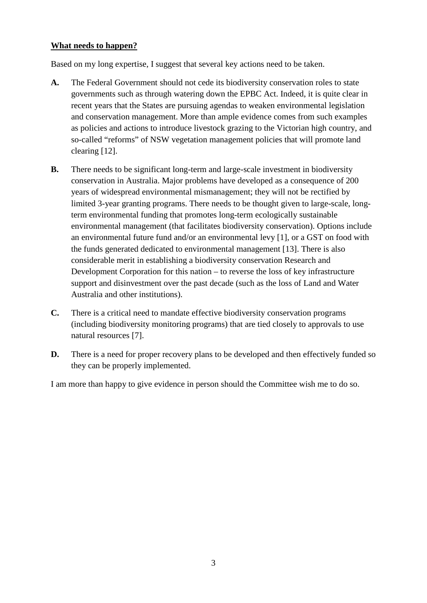## **What needs to happen?**

Based on my long expertise, I suggest that several key actions need to be taken.

- **A.** The Federal Government should not cede its biodiversity conservation roles to state governments such as through watering down the EPBC Act. Indeed, it is quite clear in recent years that the States are pursuing agendas to weaken environmental legislation and conservation management. More than ample evidence comes from such examples as policies and actions to introduce livestock grazing to the Victorian high country, and so-called "reforms" of NSW vegetation management policies that will promote land clearing [12].
- **B.** There needs to be significant long-term and large-scale investment in biodiversity conservation in Australia. Major problems have developed as a consequence of 200 years of widespread environmental mismanagement; they will not be rectified by limited 3-year granting programs. There needs to be thought given to large-scale, longterm environmental funding that promotes long-term ecologically sustainable environmental management (that facilitates biodiversity conservation). Options include an environmental future fund and/or an environmental levy [1], or a GST on food with the funds generated dedicated to environmental management [13]. There is also considerable merit in establishing a biodiversity conservation Research and Development Corporation for this nation – to reverse the loss of key infrastructure support and disinvestment over the past decade (such as the loss of Land and Water Australia and other institutions).
- **C.** There is a critical need to mandate effective biodiversity conservation programs (including biodiversity monitoring programs) that are tied closely to approvals to use natural resources [7].
- **D.** There is a need for proper recovery plans to be developed and then effectively funded so they can be properly implemented.

I am more than happy to give evidence in person should the Committee wish me to do so.